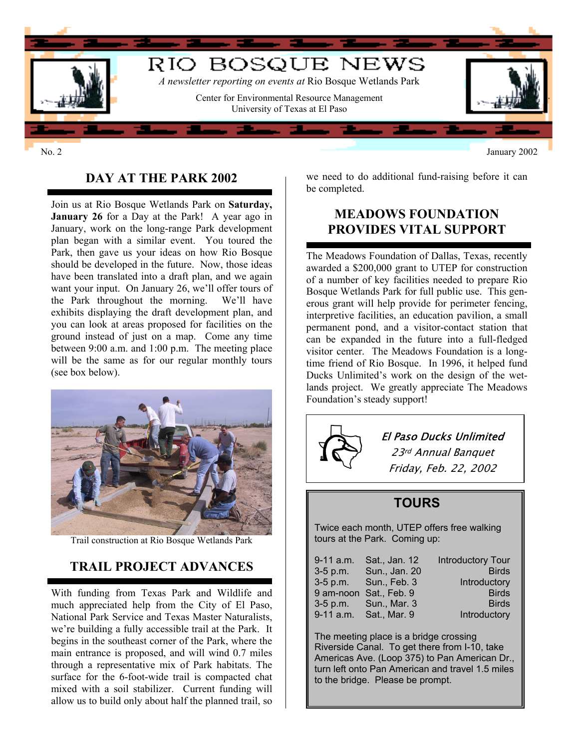

No. 2 January 2002

# **DAY AT THE PARK 2002**

Join us at Rio Bosque Wetlands Park on **Saturday, January 26** for a Day at the Park! A year ago in January, work on the long-range Park development plan began with a similar event. You toured the Park, then gave us your ideas on how Rio Bosque should be developed in the future. Now, those ideas have been translated into a draft plan, and we again want your input. On January 26, we'll offer tours of the Park throughout the morning. We'll have exhibits displaying the draft development plan, and you can look at areas proposed for facilities on the ground instead of just on a map. Come any time between 9:00 a.m. and 1:00 p.m. The meeting place will be the same as for our regular monthly tours (see box below).



Trail construction at Rio Bosque Wetlands Park

# **TRAIL PROJECT ADVANCES**

With funding from Texas Park and Wildlife and much appreciated help from the City of El Paso, National Park Service and Texas Master Naturalists, we're building a fully accessible trail at the Park. It begins in the southeast corner of the Park, where the main entrance is proposed, and will wind 0.7 miles through a representative mix of Park habitats. The surface for the 6-foot-wide trail is compacted chat mixed with a soil stabilizer. Current funding will allow us to build only about half the planned trail, so

we need to do additional fund-raising before it can be completed.

### **MEADOWS FOUNDATION PROVIDES VITAL SUPPORT**

The Meadows Foundation of Dallas, Texas, recently awarded a \$200,000 grant to UTEP for construction of a number of key facilities needed to prepare Rio Bosque Wetlands Park for full public use. This generous grant will help provide for perimeter fencing, interpretive facilities, an education pavilion, a small permanent pond, and a visitor-contact station that can be expanded in the future into a full-fledged visitor center. The Meadows Foundation is a longtime friend of Rio Bosque. In 1996, it helped fund Ducks Unlimited's work on the design of the wetlands project. We greatly appreciate The Meadows Foundation's steady support!



Twice each month, UTEP offers free walking tours at the Park. Coming up:

| $9 - 11$ a.m. | Sat., Jan. 12          | <b>Introductory Tour</b> |
|---------------|------------------------|--------------------------|
| $3-5$ p.m.    | Sun., Jan. 20          | <b>Birds</b>             |
|               | 3-5 p.m. Sun., Feb. 3  | Introductory             |
|               | 9 am-noon Sat., Feb. 9 | <b>Birds</b>             |
|               | 3-5 p.m. Sun., Mar. 3  | <b>Birds</b>             |
|               | 9-11 a.m. Sat., Mar. 9 | Introductory             |

The meeting place is a bridge crossing Riverside Canal. To get there from I-10, take Americas Ave. (Loop 375) to Pan American Dr ., turn left onto Pan American and travel 1.5 mile s to the bridge. Please be pro mpt.